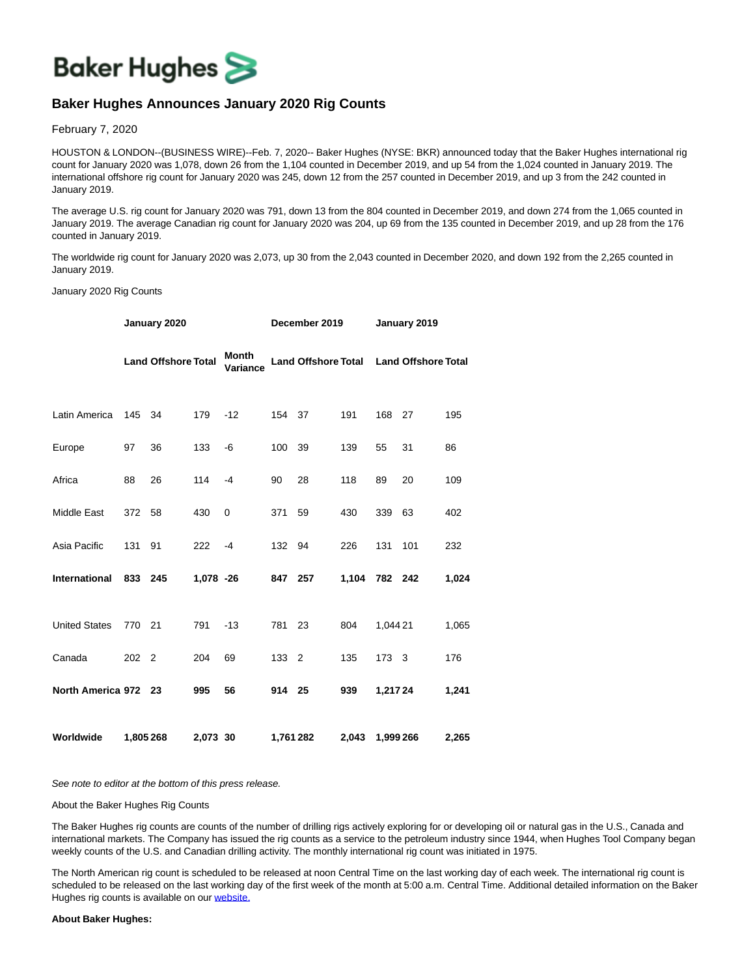

## **Baker Hughes Announces January 2020 Rig Counts**

February 7, 2020

HOUSTON & LONDON--(BUSINESS WIRE)--Feb. 7, 2020-- Baker Hughes (NYSE: BKR) announced today that the Baker Hughes international rig count for January 2020 was 1,078, down 26 from the 1,104 counted in December 2019, and up 54 from the 1,024 counted in January 2019. The international offshore rig count for January 2020 was 245, down 12 from the 257 counted in December 2019, and up 3 from the 242 counted in January 2019.

The average U.S. rig count for January 2020 was 791, down 13 from the 804 counted in December 2019, and down 274 from the 1,065 counted in January 2019. The average Canadian rig count for January 2020 was 204, up 69 from the 135 counted in December 2019, and up 28 from the 176 counted in January 2019.

The worldwide rig count for January 2020 was 2,073, up 30 from the 2,043 counted in December 2020, and down 192 from the 2,265 counted in January 2019.

January 2020 Rig Counts

|                       | January 2020 |                            |           |                   | December 2019 |                                         |               | January 2019 |     |       |
|-----------------------|--------------|----------------------------|-----------|-------------------|---------------|-----------------------------------------|---------------|--------------|-----|-------|
|                       |              | <b>Land Offshore Total</b> |           | Month<br>Variance |               | Land Offshore Total Land Offshore Total |               |              |     |       |
| Latin America         | 145 34       |                            | 179       | $-12$             | 154 37        |                                         | 191           | 168 27       |     | 195   |
| Europe                | 97           | 36                         | 133       | -6                | 100 39        |                                         | 139           | 55           | 31  | 86    |
| Africa                | 88           | 26                         | 114       | $-4$              | 90            | 28                                      | 118           | 89           | 20  | 109   |
| Middle East           | 372 58       |                            | 430       | 0                 | 371           | 59                                      | 430           | 339          | 63  | 402   |
| Asia Pacific          | 131          | 91                         | 222       | $-4$              | 132 94        |                                         | 226           | 131          | 101 | 232   |
| International 833 245 |              |                            | 1,078 -26 |                   | 847 257       |                                         | 1.104 782 242 |              |     | 1,024 |
| <b>United States</b>  | 770 21       |                            | 791       | $-13$             | 781 23        |                                         | 804           | 1,044 21     |     | 1,065 |
| Canada                | 202 2        |                            | 204       | 69                | 133 2         |                                         | 135           | 173 3        |     | 176   |
| North America 972 23  |              |                            | 995       | 56                | 914 25        |                                         | 939           | 1,217 24     |     | 1,241 |
| Worldwide             | 1,805 268    |                            | 2,073 30  |                   | 1,761 282     |                                         | 2,043         | 1,999 266    |     | 2,265 |

See note to editor at the bottom of this press release.

About the Baker Hughes Rig Counts

The Baker Hughes rig counts are counts of the number of drilling rigs actively exploring for or developing oil or natural gas in the U.S., Canada and international markets. The Company has issued the rig counts as a service to the petroleum industry since 1944, when Hughes Tool Company began weekly counts of the U.S. and Canadian drilling activity. The monthly international rig count was initiated in 1975.

The North American rig count is scheduled to be released at noon Central Time on the last working day of each week. The international rig count is scheduled to be released on the last working day of the first week of the month at 5:00 a.m. Central Time. Additional detailed information on the Baker Hughes rig counts is available on our [website.](https://cts.businesswire.com/ct/CT?id=smartlink&url=http%3A%2F%2Fphx.corporate-ir.net%2Fphoenix.zhtml%3Fc%3D79687%26p%3Dirol-rigcountsoverview&esheet=52169974&newsitemid=20200207005112&lan=en-US&anchor=website.&index=1&md5=fdd3ffefe162d2fccc2bc487abb974f7)

## **About Baker Hughes:**